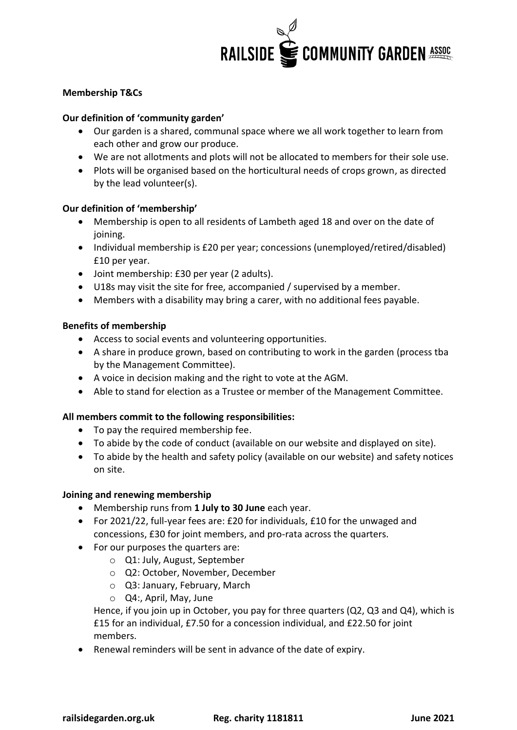

# **Membership T&Cs**

### **Our definition of 'community garden'**

- Our garden is a shared, communal space where we all work together to learn from each other and grow our produce.
- We are not allotments and plots will not be allocated to members for their sole use.
- Plots will be organised based on the horticultural needs of crops grown, as directed by the lead volunteer(s).

#### **Our definition of 'membership'**

- Membership is open to all residents of Lambeth aged 18 and over on the date of joining.
- Individual membership is £20 per year; concessions (unemployed/retired/disabled) £10 per year.
- Joint membership: £30 per year (2 adults).
- U18s may visit the site for free, accompanied / supervised by a member.
- Members with a disability may bring a carer, with no additional fees payable.

#### **Benefits of membership**

- Access to social events and volunteering opportunities.
- A share in produce grown, based on contributing to work in the garden (process tba by the Management Committee).
- A voice in decision making and the right to vote at the AGM.
- Able to stand for election as a Trustee or member of the Management Committee.

#### **All members commit to the following responsibilities:**

- To pay the required membership fee.
- To abide by the code of conduct (available on our website and displayed on site).
- To abide by the health and safety policy (available on our website) and safety notices on site.

#### **Joining and renewing membership**

- Membership runs from **1 July to 30 June** each year.
- For 2021/22, full-year fees are: £20 for individuals, £10 for the unwaged and concessions, £30 for joint members, and pro-rata across the quarters.
- For our purposes the quarters are:
	- o Q1: July, August, September
	- o Q2: October, November, December
	- o Q3: January, February, March
	- o Q4:, April, May, June

Hence, if you join up in October, you pay for three quarters (Q2, Q3 and Q4), which is £15 for an individual, £7.50 for a concession individual, and £22.50 for joint members.

• Renewal reminders will be sent in advance of the date of expiry.